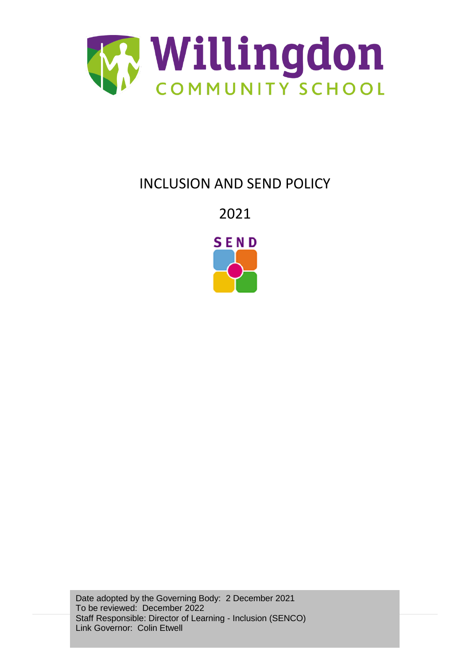

# INCLUSION AND SEND POLICY

2021



Date adopted by the Governing Body: 2 December 2021 To be reviewed: December 2022 Staff Responsible: Director of Learning - Inclusion (SENCO) Link Governor: Colin Etwell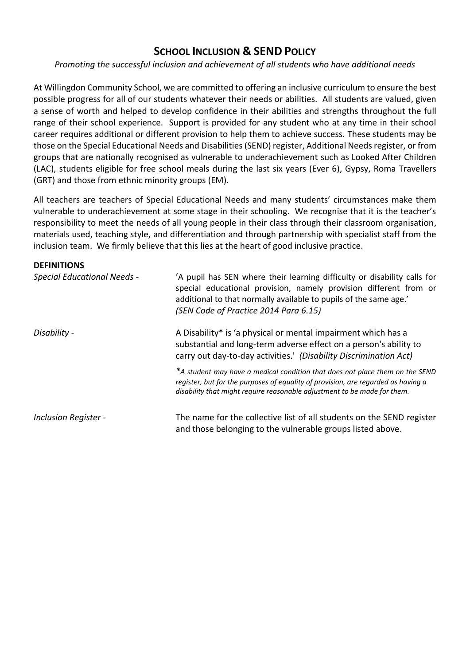## **SCHOOL INCLUSION & SEND POLICY**

## *Promoting the successful inclusion and achievement of all students who have additional needs*

At Willingdon Community School, we are committed to offering an inclusive curriculum to ensure the best possible progress for all of our students whatever their needs or abilities. All students are valued, given a sense of worth and helped to develop confidence in their abilities and strengths throughout the full range of their school experience. Support is provided for any student who at any time in their school career requires additional or different provision to help them to achieve success. These students may be those on the Special Educational Needs and Disabilities (SEND) register, Additional Needs register, or from groups that are nationally recognised as vulnerable to underachievement such as Looked After Children (LAC), students eligible for free school meals during the last six years (Ever 6), Gypsy, Roma Travellers (GRT) and those from ethnic minority groups (EM).

All teachers are teachers of Special Educational Needs and many students' circumstances make them vulnerable to underachievement at some stage in their schooling. We recognise that it is the teacher's responsibility to meet the needs of all young people in their class through their classroom organisation, materials used, teaching style, and differentiation and through partnership with specialist staff from the inclusion team. We firmly believe that this lies at the heart of good inclusive practice.

#### **DEFINITIONS**

| <b>Special Educational Needs -</b> | 'A pupil has SEN where their learning difficulty or disability calls for<br>special educational provision, namely provision different from or<br>additional to that normally available to pupils of the same age.'<br>(SEN Code of Practice 2014 Para 6.15) |
|------------------------------------|-------------------------------------------------------------------------------------------------------------------------------------------------------------------------------------------------------------------------------------------------------------|
| Disability -                       | A Disability* is 'a physical or mental impairment which has a<br>substantial and long-term adverse effect on a person's ability to<br>carry out day-to-day activities.' (Disability Discrimination Act)                                                     |
|                                    | *A student may have a medical condition that does not place them on the SEND<br>register, but for the purposes of equality of provision, are regarded as having a<br>disability that might require reasonable adjustment to be made for them.               |
| <b>Inclusion Register -</b>        | The name for the collective list of all students on the SEND register<br>and those belonging to the vulnerable groups listed above.                                                                                                                         |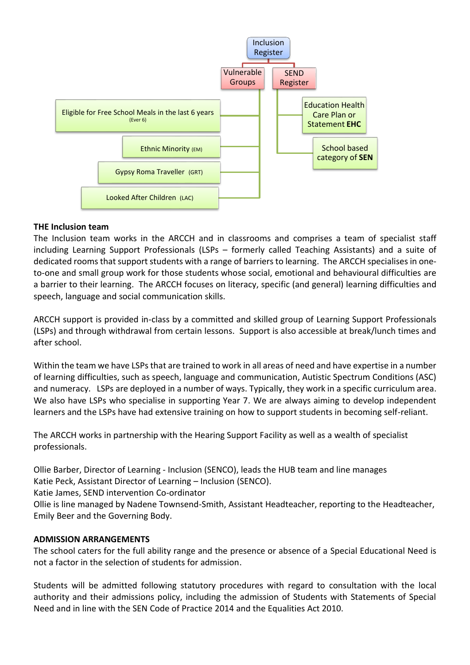

### **THE Inclusion team**

The Inclusion team works in the ARCCH and in classrooms and comprises a team of specialist staff including Learning Support Professionals (LSPs – formerly called Teaching Assistants) and a suite of dedicated rooms that support students with a range of barriers to learning. The ARCCH specialises in oneto-one and small group work for those students whose social, emotional and behavioural difficulties are a barrier to their learning. The ARCCH focuses on literacy, specific (and general) learning difficulties and speech, language and social communication skills.

ARCCH support is provided in-class by a committed and skilled group of Learning Support Professionals (LSPs) and through withdrawal from certain lessons. Support is also accessible at break/lunch times and after school.

Within the team we have LSPs that are trained to work in all areas of need and have expertise in a number of learning difficulties, such as speech, language and communication, Autistic Spectrum Conditions (ASC) and numeracy. LSPs are deployed in a number of ways. Typically, they work in a specific curriculum area. We also have LSPs who specialise in supporting Year 7. We are always aiming to develop independent learners and the LSPs have had extensive training on how to support students in becoming self-reliant.

The ARCCH works in partnership with the Hearing Support Facility as well as a wealth of specialist professionals.

Ollie Barber, Director of Learning - Inclusion (SENCO), leads the HUB team and line manages Katie Peck, Assistant Director of Learning – Inclusion (SENCO).

Katie James, SEND intervention Co-ordinator

Ollie is line managed by Nadene Townsend-Smith, Assistant Headteacher, reporting to the Headteacher, Emily Beer and the Governing Body.

### **ADMISSION ARRANGEMENTS**

The school caters for the full ability range and the presence or absence of a Special Educational Need is not a factor in the selection of students for admission.

Students will be admitted following statutory procedures with regard to consultation with the local authority and their admissions policy, including the admission of Students with Statements of Special Need and in line with the SEN Code of Practice 2014 and the Equalities Act 2010.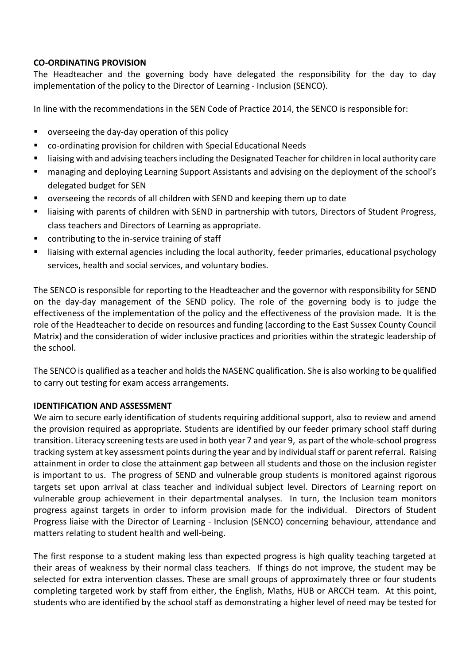## **CO-ORDINATING PROVISION**

The Headteacher and the governing body have delegated the responsibility for the day to day implementation of the policy to the Director of Learning - Inclusion (SENCO).

In line with the recommendations in the SEN Code of Practice 2014, the SENCO is responsible for:

- **•** overseeing the day-day operation of this policy
- co-ordinating provision for children with Special Educational Needs
- **EXECT** liaising with and advising teachers including the Designated Teacher for children in local authority care
- managing and deploying Learning Support Assistants and advising on the deployment of the school's delegated budget for SEN
- overseeing the records of all children with SEND and keeping them up to date
- liaising with parents of children with SEND in partnership with tutors, Directors of Student Progress, class teachers and Directors of Learning as appropriate.
- contributing to the in-service training of staff
- **EXTED** liaising with external agencies including the local authority, feeder primaries, educational psychology services, health and social services, and voluntary bodies.

The SENCO is responsible for reporting to the Headteacher and the governor with responsibility for SEND on the day-day management of the SEND policy. The role of the governing body is to judge the effectiveness of the implementation of the policy and the effectiveness of the provision made. It is the role of the Headteacher to decide on resources and funding (according to the East Sussex County Council Matrix) and the consideration of wider inclusive practices and priorities within the strategic leadership of the school.

The SENCO is qualified as a teacher and holds the NASENC qualification. She is also working to be qualified to carry out testing for exam access arrangements.

### **IDENTIFICATION AND ASSESSMENT**

We aim to secure early identification of students requiring additional support, also to review and amend the provision required as appropriate. Students are identified by our feeder primary school staff during transition. Literacy screening tests are used in both year 7 and year 9, as part of the whole-school progress tracking system at key assessment points during the year and by individual staff or parent referral. Raising attainment in order to close the attainment gap between all students and those on the inclusion register is important to us. The progress of SEND and vulnerable group students is monitored against rigorous targets set upon arrival at class teacher and individual subject level. Directors of Learning report on vulnerable group achievement in their departmental analyses. In turn, the Inclusion team monitors progress against targets in order to inform provision made for the individual. Directors of Student Progress liaise with the Director of Learning - Inclusion (SENCO) concerning behaviour, attendance and matters relating to student health and well-being.

The first response to a student making less than expected progress is high quality teaching targeted at their areas of weakness by their normal class teachers. If things do not improve, the student may be selected for extra intervention classes. These are small groups of approximately three or four students completing targeted work by staff from either, the English, Maths, HUB or ARCCH team. At this point, students who are identified by the school staff as demonstrating a higher level of need may be tested for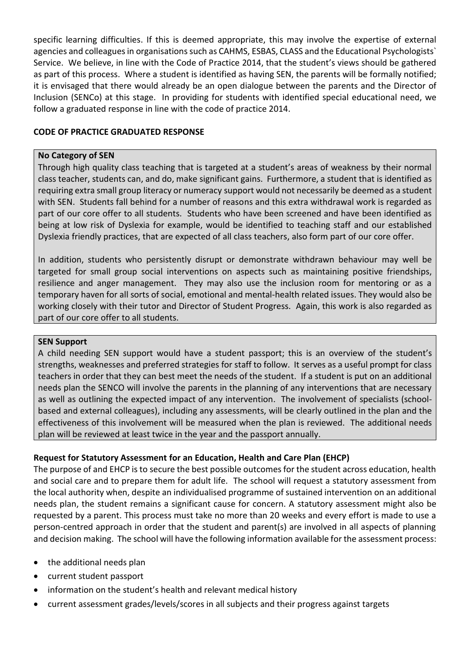specific learning difficulties. If this is deemed appropriate, this may involve the expertise of external agencies and colleagues in organisations such as CAHMS, ESBAS, CLASS and the Educational Psychologists` Service. We believe, in line with the Code of Practice 2014, that the student's views should be gathered as part of this process. Where a student is identified as having SEN, the parents will be formally notified; it is envisaged that there would already be an open dialogue between the parents and the Director of Inclusion (SENCo) at this stage. In providing for students with identified special educational need, we follow a graduated response in line with the code of practice 2014.

## **CODE OF PRACTICE GRADUATED RESPONSE**

#### **No Category of SEN**

Through high quality class teaching that is targeted at a student's areas of weakness by their normal class teacher, students can, and do, make significant gains. Furthermore, a student that is identified as requiring extra small group literacy or numeracy support would not necessarily be deemed as a student with SEN. Students fall behind for a number of reasons and this extra withdrawal work is regarded as part of our core offer to all students. Students who have been screened and have been identified as being at low risk of Dyslexia for example, would be identified to teaching staff and our established Dyslexia friendly practices, that are expected of all class teachers, also form part of our core offer.

In addition, students who persistently disrupt or demonstrate withdrawn behaviour may well be targeted for small group social interventions on aspects such as maintaining positive friendships, resilience and anger management. They may also use the inclusion room for mentoring or as a temporary haven for all sorts of social, emotional and mental-health related issues. They would also be working closely with their tutor and Director of Student Progress. Again, this work is also regarded as part of our core offer to all students.

#### **SEN Support**

A child needing SEN support would have a student passport; this is an overview of the student's strengths, weaknesses and preferred strategies for staff to follow. It serves as a useful prompt for class teachers in order that they can best meet the needs of the student. If a student is put on an additional needs plan the SENCO will involve the parents in the planning of any interventions that are necessary as well as outlining the expected impact of any intervention. The involvement of specialists (schoolbased and external colleagues), including any assessments, will be clearly outlined in the plan and the effectiveness of this involvement will be measured when the plan is reviewed. The additional needs plan will be reviewed at least twice in the year and the passport annually.

### **Request for Statutory Assessment for an Education, Health and Care Plan (EHCP)**

The purpose of and EHCP is to secure the best possible outcomes for the student across education, health and social care and to prepare them for adult life. The school will request a statutory assessment from the local authority when, despite an individualised programme of sustained intervention on an additional needs plan, the student remains a significant cause for concern. A statutory assessment might also be requested by a parent. This process must take no more than 20 weeks and every effort is made to use a person-centred approach in order that the student and parent(s) are involved in all aspects of planning and decision making. The school will have the following information available for the assessment process:

- the additional needs plan
- current student passport
- information on the student's health and relevant medical history
- current assessment grades/levels/scores in all subjects and their progress against targets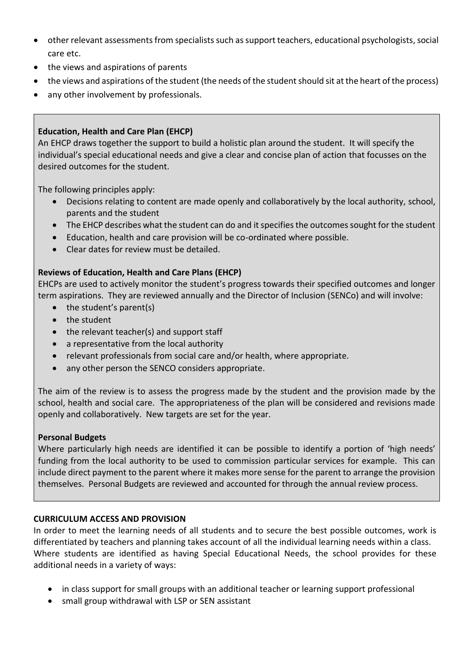- other relevant assessments from specialists such as support teachers, educational psychologists, social care etc.
- the views and aspirations of parents
- the views and aspirations of the student (the needs of the student should sit at the heart of the process)
- any other involvement by professionals.

## **Education, Health and Care Plan (EHCP)**

An EHCP draws together the support to build a holistic plan around the student. It will specify the individual's special educational needs and give a clear and concise plan of action that focusses on the desired outcomes for the student.

The following principles apply:

- Decisions relating to content are made openly and collaboratively by the local authority, school, parents and the student
- The EHCP describes what the student can do and it specifies the outcomes sought for the student
- Education, health and care provision will be co-ordinated where possible.
- Clear dates for review must be detailed.

## **Reviews of Education, Health and Care Plans (EHCP)**

EHCPs are used to actively monitor the student's progress towards their specified outcomes and longer term aspirations. They are reviewed annually and the Director of Inclusion (SENCo) and will involve:

- $\bullet$  the student's parent(s)
- the student
- the relevant teacher(s) and support staff
- a representative from the local authority
- relevant professionals from social care and/or health, where appropriate.
- any other person the SENCO considers appropriate.

The aim of the review is to assess the progress made by the student and the provision made by the school, health and social care. The appropriateness of the plan will be considered and revisions made openly and collaboratively. New targets are set for the year.

### **Personal Budgets**

Where particularly high needs are identified it can be possible to identify a portion of 'high needs' funding from the local authority to be used to commission particular services for example. This can include direct payment to the parent where it makes more sense for the parent to arrange the provision themselves. Personal Budgets are reviewed and accounted for through the annual review process.

## **CURRICULUM ACCESS AND PROVISION**

In order to meet the learning needs of all students and to secure the best possible outcomes, work is differentiated by teachers and planning takes account of all the individual learning needs within a class. Where students are identified as having Special Educational Needs, the school provides for these additional needs in a variety of ways:

- in class support for small groups with an additional teacher or learning support professional
- small group withdrawal with LSP or SEN assistant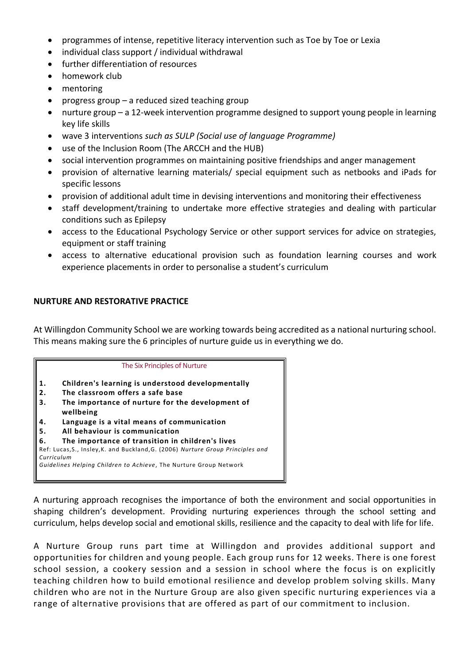- programmes of intense, repetitive literacy intervention such as Toe by Toe or Lexia
- individual class support / individual withdrawal
- further differentiation of resources
- homework club
- mentoring
- progress group a reduced sized teaching group
- nurture group a 12-week intervention programme designed to support young people in learning key life skills
- wave 3 interventions *such as SULP (Social use of language Programme)*
- use of the Inclusion Room (The ARCCH and the HUB)
- social intervention programmes on maintaining positive friendships and anger management
- provision of alternative learning materials/ special equipment such as netbooks and iPads for specific lessons
- provision of additional adult time in devising interventions and monitoring their effectiveness
- staff development/training to undertake more effective strategies and dealing with particular conditions such as Epilepsy
- access to the Educational Psychology Service or other support services for advice on strategies, equipment or staff training
- access to alternative educational provision such as foundation learning courses and work experience placements in order to personalise a student's curriculum

## **NURTURE AND RESTORATIVE PRACTICE**

At Willingdon Community School we are working towards being accredited as a national nurturing school. This means making sure the 6 principles of nurture guide us in everything we do.



A nurturing approach recognises the importance of both the environment and social opportunities in shaping children's development. Providing nurturing experiences through the school setting and curriculum, helps develop social and emotional skills, resilience and the capacity to deal with life for life.

A Nurture Group runs part time at Willingdon and provides additional support and opportunities for children and young people. Each group runs for 12 weeks. There is one forest school session, a cookery session and a session in school where the focus is on explicitly teaching children how to build emotional resilience and develop problem solving skills. Many children who are not in the Nurture Group are also given specific nurturing experiences via a range of alternative provisions that are offered as part of our commitment to inclusion.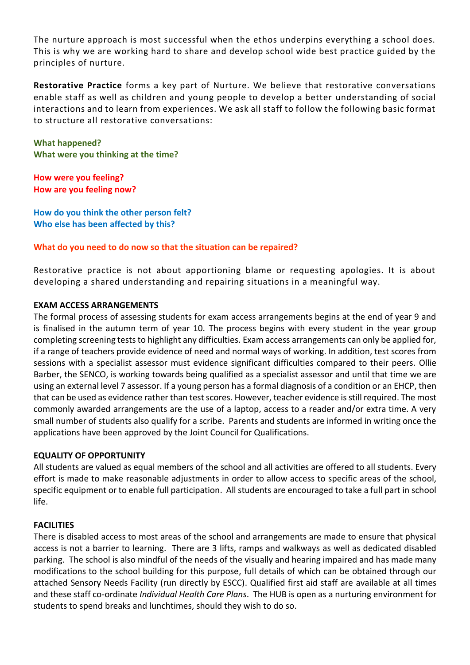The nurture approach is most successful when the ethos underpins everything a school does. This is why we are working hard to share and develop school wide best practice guided by the principles of nurture.

**Restorative Practice** forms a key part of Nurture. We believe that restorative conversations enable staff as well as children and young people to develop a better understanding of social interactions and to learn from experiences. We ask all staff to follow the following basic format to structure all restorative conversations:

**What happened? What were you thinking at the time?**

**How were you feeling? How are you feeling now?**

**How do you think the other person felt? Who else has been affected by this?**

**What do you need to do now so that the situation can be repaired?**

Restorative practice is not about apportioning blame or requesting apologies. It is about developing a shared understanding and repairing situations in a meaningful way.

## **EXAM ACCESS ARRANGEMENTS**

The formal process of assessing students for exam access arrangements begins at the end of year 9 and is finalised in the autumn term of year 10. The process begins with every student in the year group completing screening tests to highlight any difficulties. Exam access arrangements can only be applied for, if a range of teachers provide evidence of need and normal ways of working. In addition, test scores from sessions with a specialist assessor must evidence significant difficulties compared to their peers. Ollie Barber, the SENCO, is working towards being qualified as a specialist assessor and until that time we are using an external level 7 assessor. If a young person has a formal diagnosis of a condition or an EHCP, then that can be used as evidence rather than test scores. However, teacher evidence is still required. The most commonly awarded arrangements are the use of a laptop, access to a reader and/or extra time. A very small number of students also qualify for a scribe. Parents and students are informed in writing once the applications have been approved by the Joint Council for Qualifications.

## **EQUALITY OF OPPORTUNITY**

All students are valued as equal members of the school and all activities are offered to all students. Every effort is made to make reasonable adjustments in order to allow access to specific areas of the school, specific equipment or to enable full participation. All students are encouraged to take a full part in school life.

## **FACILITIES**

There is disabled access to most areas of the school and arrangements are made to ensure that physical access is not a barrier to learning. There are 3 lifts, ramps and walkways as well as dedicated disabled parking. The school is also mindful of the needs of the visually and hearing impaired and has made many modifications to the school building for this purpose, full details of which can be obtained through our attached Sensory Needs Facility (run directly by ESCC). Qualified first aid staff are available at all times and these staff co-ordinate *Individual Health Care Plans*. The HUB is open as a nurturing environment for students to spend breaks and lunchtimes, should they wish to do so.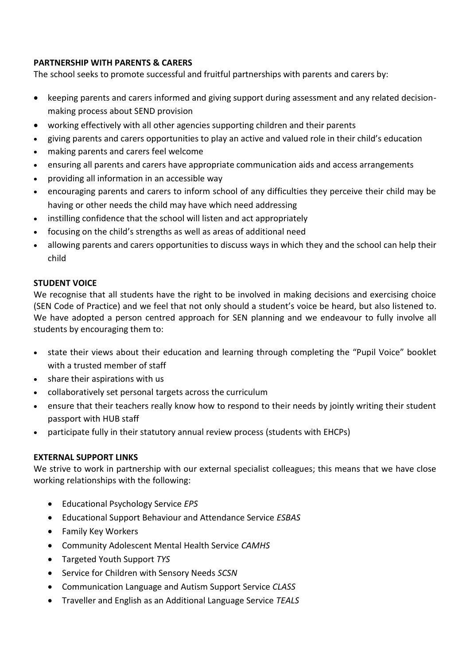## **PARTNERSHIP WITH PARENTS & CARERS**

The school seeks to promote successful and fruitful partnerships with parents and carers by:

- keeping parents and carers informed and giving support during assessment and any related decisionmaking process about SEND provision
- working effectively with all other agencies supporting children and their parents
- giving parents and carers opportunities to play an active and valued role in their child's education
- making parents and carers feel welcome
- ensuring all parents and carers have appropriate communication aids and access arrangements
- providing all information in an accessible way
- encouraging parents and carers to inform school of any difficulties they perceive their child may be having or other needs the child may have which need addressing
- instilling confidence that the school will listen and act appropriately
- focusing on the child's strengths as well as areas of additional need
- allowing parents and carers opportunities to discuss ways in which they and the school can help their child

## **STUDENT VOICE**

We recognise that all students have the right to be involved in making decisions and exercising choice (SEN Code of Practice) and we feel that not only should a student's voice be heard, but also listened to. We have adopted a person centred approach for SEN planning and we endeavour to fully involve all students by encouraging them to:

- state their views about their education and learning through completing the "Pupil Voice" booklet with a trusted member of staff
- share their aspirations with us
- collaboratively set personal targets across the curriculum
- ensure that their teachers really know how to respond to their needs by jointly writing their student passport with HUB staff
- participate fully in their statutory annual review process (students with EHCPs)

## **EXTERNAL SUPPORT LINKS**

We strive to work in partnership with our external specialist colleagues; this means that we have close working relationships with the following:

- Educational Psychology Service *EPS*
- Educational Support Behaviour and Attendance Service *ESBAS*
- Family Key Workers
- Community Adolescent Mental Health Service *CAMHS*
- Targeted Youth Support *TYS*
- Service for Children with Sensory Needs *SCSN*
- Communication Language and Autism Support Service *CLASS*
- Traveller and English as an Additional Language Service *TEALS*